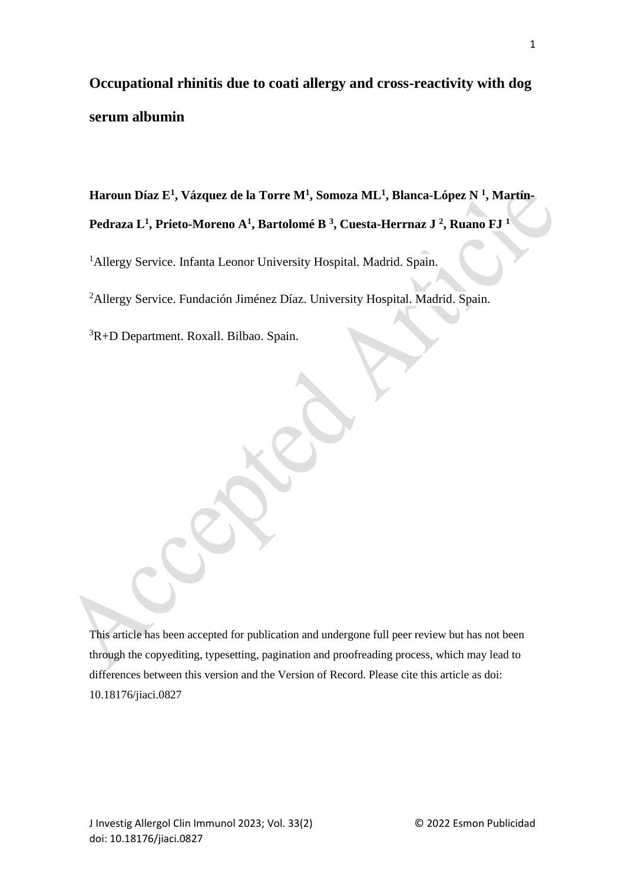# **Occupational rhinitis due to coati allergy and cross-reactivity with dog serum albumin**

**Haroun Díaz E<sup>1</sup> , Vázquez de la Torre M<sup>1</sup> , Somoza ML<sup>1</sup> , Blanca-López N <sup>1</sup> , Martín-Pedraza L<sup>1</sup> , Prieto-Moreno A<sup>1</sup> , Bartolomé B <sup>3</sup> , Cuesta-Herrnaz J <sup>2</sup> , Ruano FJ <sup>1</sup>**

<sup>1</sup>Allergy Service. Infanta Leonor University Hospital. Madrid. Spain.

<sup>2</sup>Allergy Service. Fundación Jiménez Díaz. University Hospital. Madrid. Spain.

<sup>3</sup>R+D Department. Roxall. Bilbao. Spain.

This article has been accepted for publication and undergone full peer review but has not been through the copyediting, typesetting, pagination and proofreading process, which may lead to differences between this version and the Version of Record. Please cite this article as doi: 10.18176/jiaci.0827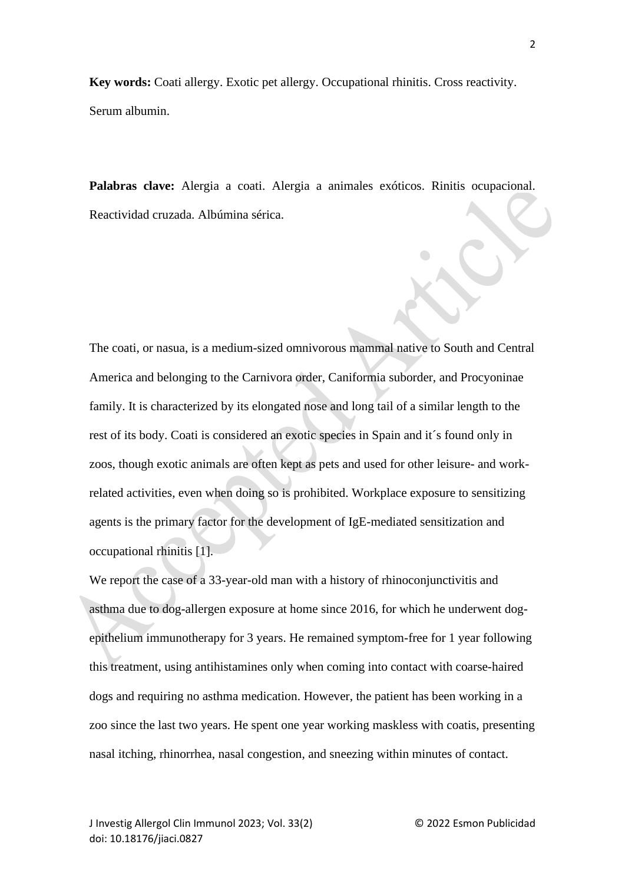**Key words:** Coati allergy. Exotic pet allergy. Occupational rhinitis. Cross reactivity. Serum albumin.

**Palabras clave:** Alergia a coati. Alergia a animales exóticos. Rinitis ocupacional. Reactividad cruzada. Albúmina sérica.

The coati, or nasua, is a medium-sized omnivorous mammal native to South and Central America and belonging to the Carnivora order, Caniformia suborder, and Procyoninae family. It is characterized by its elongated nose and long tail of a similar length to the rest of its body. Coati is considered an exotic species in Spain and it´s found only in zoos, though exotic animals are often kept as pets and used for other leisure- and workrelated activities, even when doing so is prohibited. Workplace exposure to sensitizing agents is the primary factor for the development of IgE-mediated sensitization and occupational rhinitis [1].

We report the case of a 33-year-old man with a history of rhinoconjunctivitis and asthma due to dog-allergen exposure at home since 2016, for which he underwent dogepithelium immunotherapy for 3 years. He remained symptom-free for 1 year following this treatment, using antihistamines only when coming into contact with coarse-haired dogs and requiring no asthma medication. However, the patient has been working in a zoo since the last two years. He spent one year working maskless with coatis, presenting nasal itching, rhinorrhea, nasal congestion, and sneezing within minutes of contact.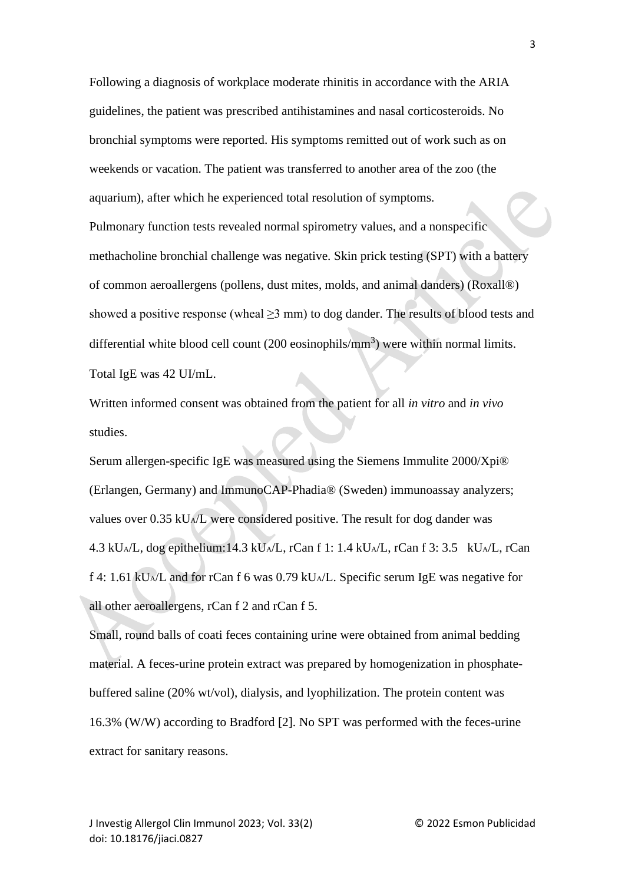Following a diagnosis of workplace moderate rhinitis in accordance with the ARIA guidelines, the patient was prescribed antihistamines and nasal corticosteroids. No bronchial symptoms were reported. His symptoms remitted out of work such as on weekends or vacation. The patient was transferred to another area of the zoo (the aquarium), after which he experienced total resolution of symptoms. Pulmonary function tests revealed normal spirometry values, and a nonspecific methacholine bronchial challenge was negative. Skin prick testing (SPT) with a battery of common aeroallergens (pollens, dust mites, molds, and animal danders) (Roxall®) showed a positive response (wheal  $\geq$ 3 mm) to dog dander. The results of blood tests and differential white blood cell count (200 eosinophils/mm<sup>3</sup>) were within normal limits. Total IgE was 42 UI/mL.

Written informed consent was obtained from the patient for all *in vitro* and *in vivo* studies.

Serum allergen-specific IgE was measured using the Siemens Immulite 2000/Xpi® [\(Erlangen, Germany\)](about:blank) and ImmunoCAP-Phadia® (Sweden) immunoassay analyzers; values over 0.35 kUA/L were considered positive. The result for dog dander was 4.3 kUA/L, dog epithelium:14.3 kUA/L, rCan f 1: 1.4 kUA/L, rCan f 3: 3.5 kUA/L, rCan f 4: 1.61 kUA/L and for rCan f 6 was 0.79 kUA/L. Specific serum IgE was negative for all other aeroallergens, rCan f 2 and rCan f 5.

Small, round balls of coati feces containing urine were obtained from animal bedding material. A feces-urine protein extract was prepared by homogenization in phosphatebuffered saline (20% wt/vol), dialysis, and lyophilization. The protein content was 16.3% (W/W) according to Bradford [2]. No SPT was performed with the feces-urine extract for sanitary reasons.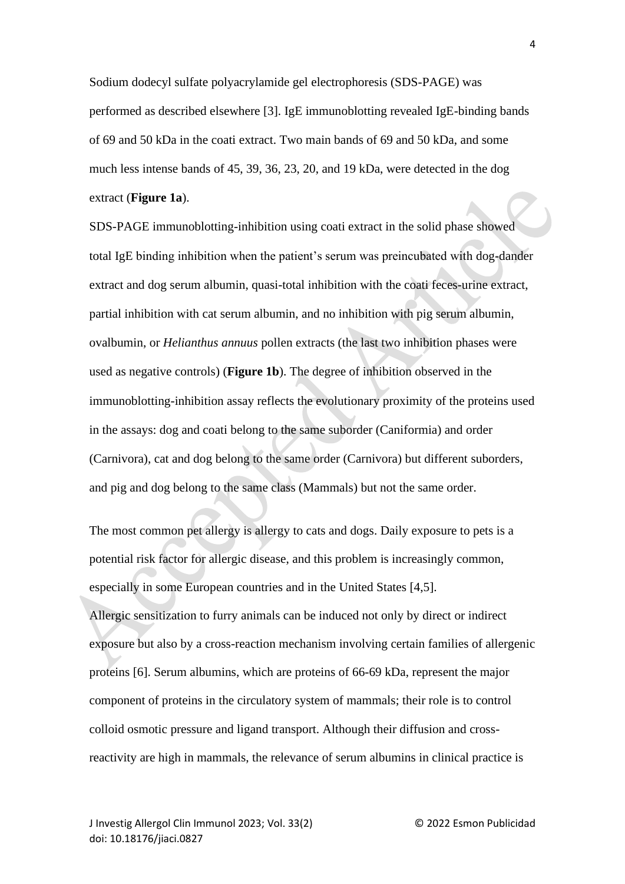Sodium dodecyl sulfate polyacrylamide gel electrophoresis (SDS-PAGE) was performed as described elsewhere [3]. IgE immunoblotting revealed IgE-binding bands of 69 and 50 kDa in the coati extract. Two main bands of 69 and 50 kDa, and some much less intense bands of 45, 39, 36, 23, 20, and 19 kDa, were detected in the dog extract (**Figure 1a**).

SDS-PAGE immunoblotting-inhibition using coati extract in the solid phase showed total IgE binding inhibition when the patient's serum was preincubated with dog-dander extract and dog serum albumin, quasi-total inhibition with the coati feces-urine extract, partial inhibition with cat serum albumin, and no inhibition with pig serum albumin, ovalbumin, or *Helianthus annuus* pollen extracts (the last two inhibition phases were used as negative controls) (**Figure 1b**). The degree of inhibition observed in the immunoblotting-inhibition assay reflects the evolutionary proximity of the proteins used in the assays: dog and coati belong to the same suborder (Caniformia) and order (Carnivora), cat and dog belong to the same order (Carnivora) but different suborders, and pig and dog belong to the same class (Mammals) but not the same order.

The most common pet allergy is allergy to cats and dogs. Daily exposure to pets is a potential risk factor for allergic disease, and this problem is increasingly common, especially in some European countries and in the United States [4,5]. Allergic sensitization to furry animals can be induced not only by direct or indirect exposure but also by a cross-reaction mechanism involving certain families of allergenic proteins [6]. Serum albumins, which are proteins of 66-69 kDa, represent the major component of proteins in the circulatory system of mammals; their role is to control colloid osmotic pressure and ligand transport. Although their diffusion and crossreactivity are high in mammals, the relevance of serum albumins in clinical practice is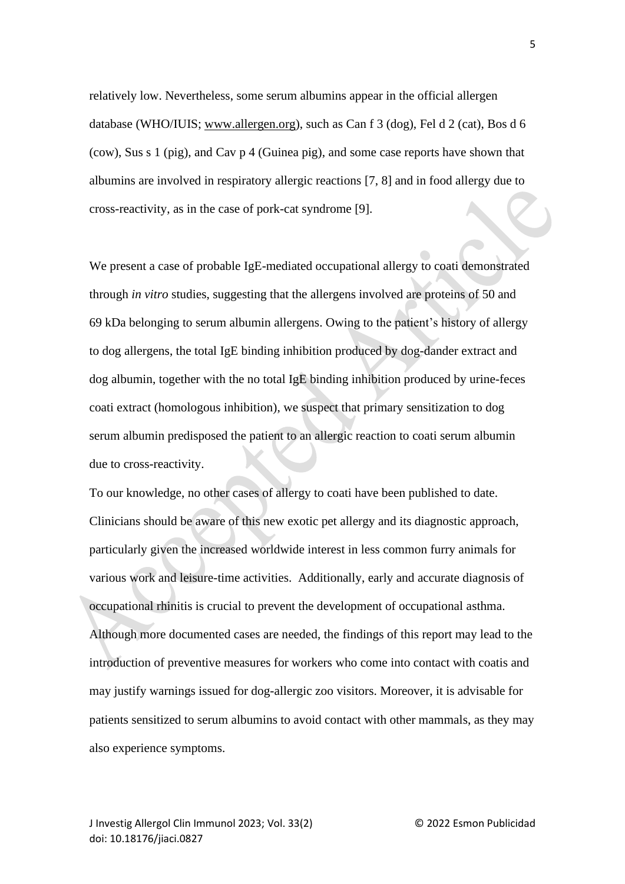relatively low. Nevertheless, some serum albumins appear in the official allergen database (WHO/IUIS; [www.allergen.org\)](about:blank), such as Can f 3 (dog), Fel d 2 (cat), Bos d 6 (cow), Sus s 1 (pig), and Cav p 4 (Guinea pig), and some case reports have shown that albumins are involved in respiratory allergic reactions [7, 8] and in food allergy due to cross-reactivity, as in the case of pork-cat syndrome [9].

We present a case of probable IgE-mediated occupational allergy to coati demonstrated through *in vitro* studies, suggesting that the allergens involved are proteins of 50 and 69 kDa belonging to serum albumin allergens. Owing to the patient's history of allergy to dog allergens, the total IgE binding inhibition produced by dog-dander extract and dog albumin, together with the no total IgE binding inhibition produced by urine-feces coati extract (homologous inhibition), we suspect that primary sensitization to dog serum albumin predisposed the patient to an allergic reaction to coati serum albumin due to cross-reactivity.

To our knowledge, no other cases of allergy to coati have been published to date. Clinicians should be aware of this new exotic pet allergy and its diagnostic approach, particularly given the increased worldwide interest in less common furry animals for various work and leisure-time activities. Additionally, early and accurate diagnosis of occupational rhinitis is crucial to prevent the development of occupational asthma. Although more documented cases are needed, the findings of this report may lead to the introduction of preventive measures for workers who come into contact with coatis and may justify warnings issued for dog-allergic zoo visitors. Moreover, it is advisable for patients sensitized to serum albumins to avoid contact with other mammals, as they may also experience symptoms.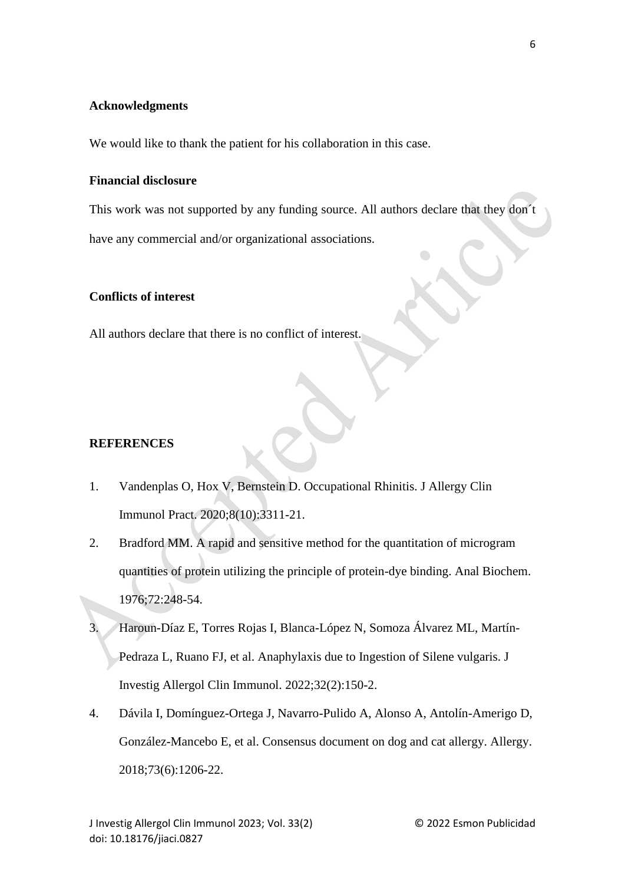## **Acknowledgments**

We would like to thank the patient for his collaboration in this case.

### **Financial disclosure**

This work was not supported by any funding source. All authors declare that they don´t have any commercial and/or organizational associations.

## **Conflicts of interest**

All authors declare that there is no conflict of interest.

### **REFERENCES**

- 1. Vandenplas O, Hox V, Bernstein D. Occupational Rhinitis. J Allergy Clin Immunol Pract. 2020;8(10):3311-21.
- 2. Bradford MM. A rapid and sensitive method for the quantitation of microgram quantities of protein utilizing the principle of protein-dye binding. Anal Biochem. 1976;72:248-54.
- 3. Haroun-Díaz E, Torres Rojas I, Blanca-López N, Somoza Álvarez ML, Martín-Pedraza L, Ruano FJ, et al. Anaphylaxis due to Ingestion of Silene vulgaris. J Investig Allergol Clin Immunol. 2022;32(2):150-2.
- 4. Dávila I, Domínguez-Ortega J, Navarro-Pulido A, Alonso A, Antolín-Amerigo D, González-Mancebo E, et al. Consensus document on dog and cat allergy. Allergy. 2018;73(6):1206-22.

6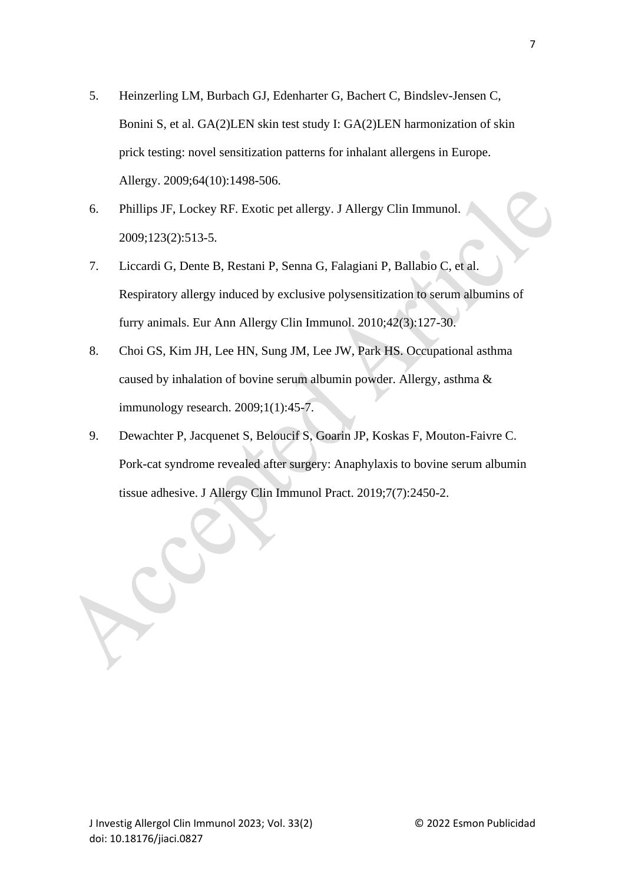- 5. Heinzerling LM, Burbach GJ, Edenharter G, Bachert C, Bindslev-Jensen C, Bonini S, et al. GA(2)LEN skin test study I: GA(2)LEN harmonization of skin prick testing: novel sensitization patterns for inhalant allergens in Europe. Allergy. 2009;64(10):1498-506.
- 6. Phillips JF, Lockey RF. Exotic pet allergy. J Allergy Clin Immunol. 2009;123(2):513-5.
- 7. Liccardi G, Dente B, Restani P, Senna G, Falagiani P, Ballabio C, et al. Respiratory allergy induced by exclusive polysensitization to serum albumins of furry animals. Eur Ann Allergy Clin Immunol. 2010;42(3):127-30.
- 8. Choi GS, Kim JH, Lee HN, Sung JM, Lee JW, Park HS. Occupational asthma caused by inhalation of bovine serum albumin powder. Allergy, asthma & immunology research. 2009;1(1):45-7.
- 9. Dewachter P, Jacquenet S, Beloucif S, Goarin JP, Koskas F, Mouton-Faivre C. Pork-cat syndrome revealed after surgery: Anaphylaxis to bovine serum albumin tissue adhesive. J Allergy Clin Immunol Pract. 2019;7(7):2450-2.